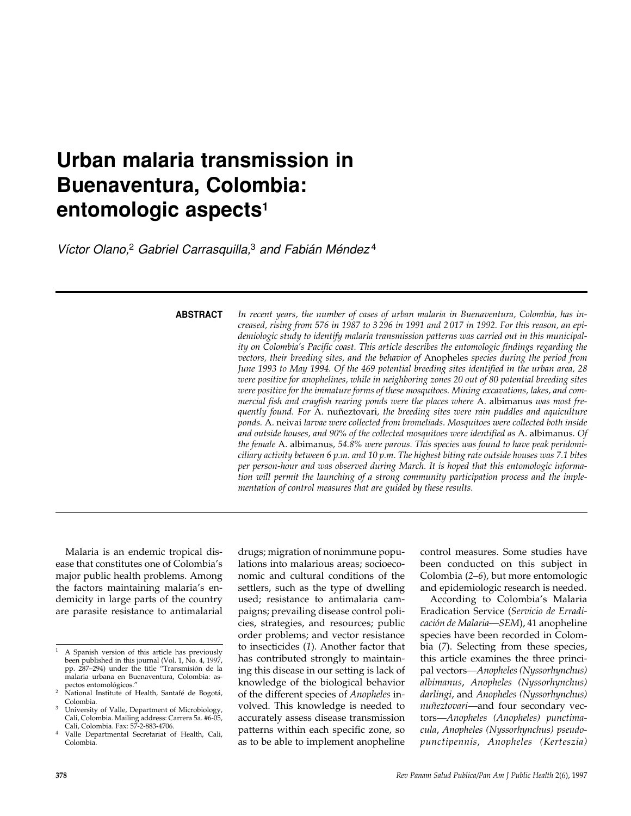# **Urban malaria transmission in Buenaventura, Colombia: entomologic aspects1**

*Víctor Olano,*<sup>2</sup> *Gabriel Carrasquilla,*<sup>3</sup> *and Fabián Méndez* <sup>4</sup>

**ABSTRACT**

*In recent years, the number of cases of urban malaria in Buenaventura, Colombia, has increased, rising from 576 in 1987 to 3 296 in 1991 and 2 017 in 1992. For this reason, an epidemiologic study to identify malaria transmission patterns was carried out in this municipality on Colombia's Pacific coast. This article describes the entomologic findings regarding the vectors, their breeding sites, and the behavior of* Anopheles *species during the period from June 1993 to May 1994. Of the 469 potential breeding sites identified in the urban area, 28 were positive for anophelines, while in neighboring zones 20 out of 80 potential breeding sites were positive for the immature forms of these mosquitoes. Mining excavations, lakes, and commercial fish and crayfish rearing ponds were the places where* A. albimanus *was most frequently found. For* A. nuñeztovari*, the breeding sites were rain puddles and aquiculture ponds.* A. neivai *larvae were collected from bromeliads. Mosquitoes were collected both inside and outside houses, and 90% of the collected mosquitoes were identified as* A. albimanus*. Of the female* A. albimanus*, 54.8% were parous. This species was found to have peak peridomiciliary activity between 6 p.m. and 10 p.m. The highest biting rate outside houses was 7.1 bites per person-hour and was observed during March. It is hoped that this entomologic information will permit the launching of a strong community participation process and the implementation of control measures that are guided by these results.*

Malaria is an endemic tropical disease that constitutes one of Colombia's major public health problems. Among the factors maintaining malaria's endemicity in large parts of the country are parasite resistance to antimalarial drugs; migration of nonimmune populations into malarious areas; socioeconomic and cultural conditions of the settlers, such as the type of dwelling used; resistance to antimalaria campaigns; prevailing disease control policies, strategies, and resources; public order problems; and vector resistance to insecticides (*1*). Another factor that has contributed strongly to maintaining this disease in our setting is lack of knowledge of the biological behavior of the different species of *Anopheles* involved. This knowledge is needed to accurately assess disease transmission patterns within each specific zone, so as to be able to implement anopheline

control measures. Some studies have been conducted on this subject in Colombia (*2–6*), but more entomologic and epidemiologic research is needed.

According to Colombia's Malaria Eradication Service (*Servicio de Erradicación de Malaria—SEM*), 41 anopheline species have been recorded in Colombia (*7*). Selecting from these species, this article examines the three principal vectors—*Anopheles (Nyssorhynchus) albimanus*, *Anopheles (Nyssorhynchus) darlingi*, and *Anopheles (Nyssorhynchus) nuñeztovari*—and four secondary vectors—*Anopheles (Anopheles) punctimacula*, *Anopheles (Nyssorhynchus) pseudopunctipennis*, *Anopheles (Kerteszia)*

<sup>1</sup> A Spanish version of this article has previously been published in this journal (Vol. 1, No. 4, 1997, pp. 287–294) under the title "Transmisión de la malaria urbana en Buenaventura, Colombia: as-

pectos entomológicos." <sup>2</sup> National Institute of Health, Santafé de Bogotá, Colombia.

<sup>&</sup>lt;sup>3</sup> University of Valle, Department of Microbiology, Cali, Colombia. Mailing address: Carrera 5a. #6-05, Cali, Colombia. Fax: 57-2-883-4706.

Valle Departmental Secretariat of Health, Cali, Colombia.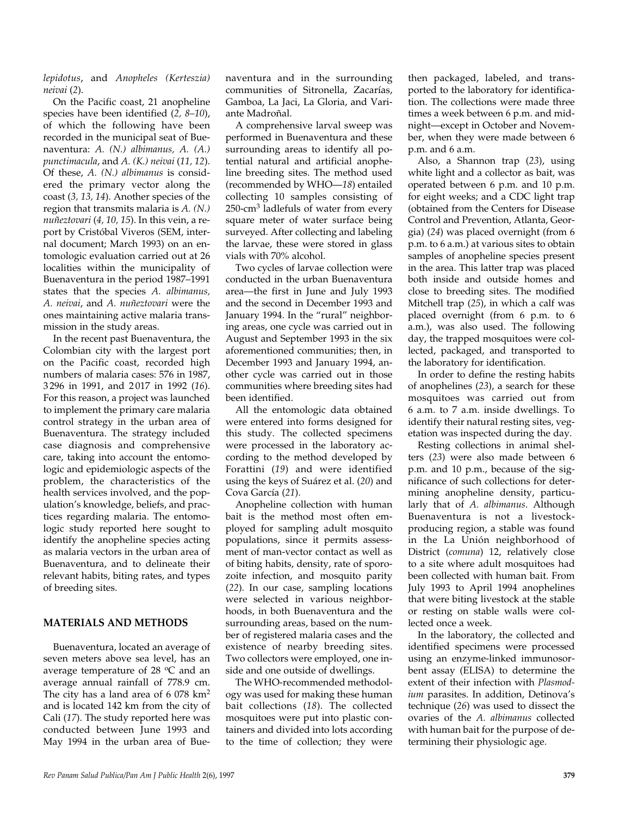*lepidotus*, and *Anopheles (Kerteszia) neivai* (*2*).

On the Pacific coast, 21 anopheline species have been identified (*2, 8–10*), of which the following have been recorded in the municipal seat of Buenaventura: *A. (N.) albimanus, A. (A.) punctimacula*, and *A. (K.) neivai* (*11, 12*). Of these, *A. (N.) albimanus* is considered the primary vector along the coast (*3, 13, 14*). Another species of the region that transmits malaria is *A. (N.) nuñeztovari* (*4, 10, 15*). In this vein, a report by Cristóbal Viveros (SEM, internal document; March 1993) on an entomologic evaluation carried out at 26 localities within the municipality of Buenaventura in the period 1987–1991 states that the species *A. albimanus, A. neivai*, and *A. nuñeztovari* were the ones maintaining active malaria transmission in the study areas.

In the recent past Buenaventura, the Colombian city with the largest port on the Pacific coast, recorded high numbers of malaria cases: 576 in 1987, 3 296 in 1991, and 2 017 in 1992 (*16*). For this reason, a project was launched to implement the primary care malaria control strategy in the urban area of Buenaventura. The strategy included case diagnosis and comprehensive care, taking into account the entomologic and epidemiologic aspects of the problem, the characteristics of the health services involved, and the population's knowledge, beliefs, and practices regarding malaria. The entomologic study reported here sought to identify the anopheline species acting as malaria vectors in the urban area of Buenaventura, and to delineate their relevant habits, biting rates, and types of breeding sites.

### **MATERIALS AND METHODS**

Buenaventura, located an average of seven meters above sea level, has an average temperature of 28  $\degree$ C and an average annual rainfall of 778.9 cm. The city has a land area of 6 078 km<sup>2</sup> and is located 142 km from the city of Cali (*17*). The study reported here was conducted between June 1993 and May 1994 in the urban area of Buenaventura and in the surrounding communities of Sitronella, Zacarías, Gamboa, La Jaci, La Gloria, and Variante Madroñal.

A comprehensive larval sweep was performed in Buenaventura and these surrounding areas to identify all potential natural and artificial anopheline breeding sites. The method used (recommended by WHO—*18*) entailed collecting 10 samples consisting of 250-cm3 ladlefuls of water from every square meter of water surface being surveyed. After collecting and labeling the larvae, these were stored in glass vials with 70% alcohol.

Two cycles of larvae collection were conducted in the urban Buenaventura area—the first in June and July 1993 and the second in December 1993 and January 1994. In the "rural" neighboring areas, one cycle was carried out in August and September 1993 in the six aforementioned communities; then, in December 1993 and January 1994, another cycle was carried out in those communities where breeding sites had been identified.

All the entomologic data obtained were entered into forms designed for this study. The collected specimens were processed in the laboratory according to the method developed by Forattini (*19*) and were identified using the keys of Suárez et al. (*20*) and Cova García (*21*).

Anopheline collection with human bait is the method most often employed for sampling adult mosquito populations, since it permits assessment of man-vector contact as well as of biting habits, density, rate of sporozoite infection, and mosquito parity (*22*). In our case, sampling locations were selected in various neighborhoods, in both Buenaventura and the surrounding areas, based on the number of registered malaria cases and the existence of nearby breeding sites. Two collectors were employed, one inside and one outside of dwellings.

The WHO-recommended methodology was used for making these human bait collections (*18*). The collected mosquitoes were put into plastic containers and divided into lots according to the time of collection; they were

then packaged, labeled, and transported to the laboratory for identification. The collections were made three times a week between 6 p.m. and midnight—except in October and November, when they were made between 6 p.m. and 6 a.m.

Also, a Shannon trap (*23*), using white light and a collector as bait, was operated between 6 p.m. and 10 p.m. for eight weeks; and a CDC light trap (obtained from the Centers for Disease Control and Prevention, Atlanta, Georgia) (*24*) was placed overnight (from 6 p.m. to 6 a.m.) at various sites to obtain samples of anopheline species present in the area. This latter trap was placed both inside and outside homes and close to breeding sites. The modified Mitchell trap (*25*), in which a calf was placed overnight (from 6 p.m. to 6 a.m.), was also used. The following day, the trapped mosquitoes were collected, packaged, and transported to the laboratory for identification.

In order to define the resting habits of anophelines (*23*), a search for these mosquitoes was carried out from 6 a.m. to 7 a.m. inside dwellings. To identify their natural resting sites, vegetation was inspected during the day.

Resting collections in animal shelters (*23*) were also made between 6 p.m. and 10 p.m., because of the significance of such collections for determining anopheline density, particularly that of *A. albimanus*. Although Buenaventura is not a livestockproducing region, a stable was found in the La Unión neighborhood of District (*comuna*) 12, relatively close to a site where adult mosquitoes had been collected with human bait. From July 1993 to April 1994 anophelines that were biting livestock at the stable or resting on stable walls were collected once a week.

In the laboratory, the collected and identified specimens were processed using an enzyme-linked immunosorbent assay (ELISA) to determine the extent of their infection with *Plasmodium* parasites. In addition, Detinova's technique (*26*) was used to dissect the ovaries of the *A. albimanus* collected with human bait for the purpose of determining their physiologic age.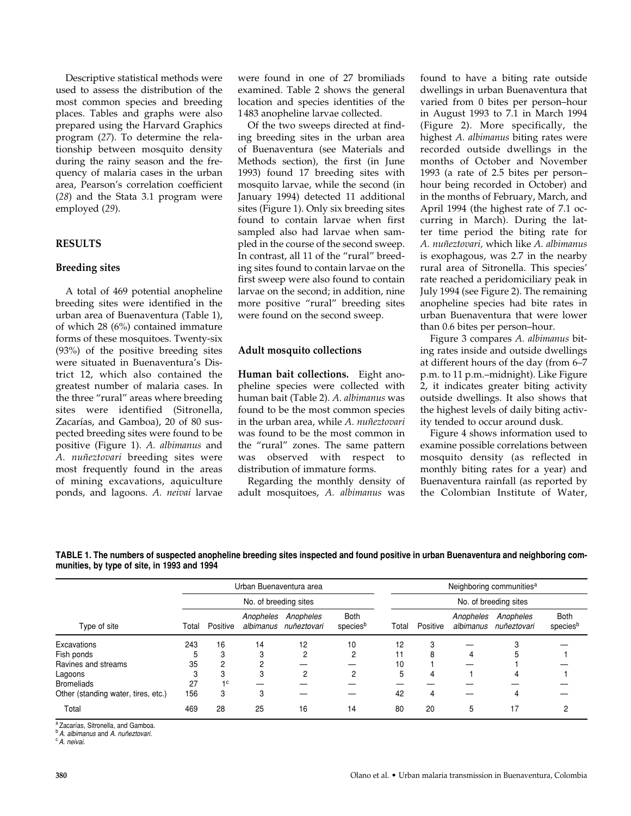Descriptive statistical methods were used to assess the distribution of the most common species and breeding places. Tables and graphs were also prepared using the Harvard Graphics program (*27*). To determine the relationship between mosquito density during the rainy season and the frequency of malaria cases in the urban area, Pearson's correlation coefficient (*28*) and the Stata 3.1 program were employed (*29*).

## **RESULTS**

#### **Breeding sites**

A total of 469 potential anopheline breeding sites were identified in the urban area of Buenaventura (Table 1), of which 28 (6%) contained immature forms of these mosquitoes. Twenty-six (93%) of the positive breeding sites were situated in Buenaventura's District 12, which also contained the greatest number of malaria cases. In the three "rural" areas where breeding sites were identified (Sitronella, Zacarías, and Gamboa), 20 of 80 suspected breeding sites were found to be positive (Figure 1). *A. albimanus* and *A. nuñeztovari* breeding sites were most frequently found in the areas of mining excavations, aquiculture ponds, and lagoons. *A. neivai* larvae

were found in one of 27 bromiliads examined. Table 2 shows the general location and species identities of the 1483 anopheline larvae collected.

Of the two sweeps directed at finding breeding sites in the urban area of Buenaventura (see Materials and Methods section), the first (in June 1993) found 17 breeding sites with mosquito larvae, while the second (in January 1994) detected 11 additional sites (Figure 1). Only six breeding sites found to contain larvae when first sampled also had larvae when sampled in the course of the second sweep. In contrast, all 11 of the "rural" breeding sites found to contain larvae on the first sweep were also found to contain larvae on the second; in addition, nine more positive "rural" breeding sites were found on the second sweep.

#### **Adult mosquito collections**

**Human bait collections.** Eight anopheline species were collected with human bait (Table 2). *A. albimanus* was found to be the most common species in the urban area, while *A. nuñeztovari* was found to be the most common in the "rural" zones. The same pattern was observed with respect to distribution of immature forms.

Regarding the monthly density of adult mosquitoes, *A. albimanus* was found to have a biting rate outside dwellings in urban Buenaventura that varied from 0 bites per person–hour in August 1993 to 7.1 in March 1994 (Figure 2). More specifically, the highest *A. albimanus* biting rates were recorded outside dwellings in the months of October and November 1993 (a rate of 2.5 bites per person– hour being recorded in October) and in the months of February, March, and April 1994 (the highest rate of 7.1 occurring in March). During the latter time period the biting rate for *A. nuñeztovari,* which like *A. albimanus* is exophagous, was 2.7 in the nearby rural area of Sitronella. This species' rate reached a peridomiciliary peak in July 1994 (see Figure 2). The remaining anopheline species had bite rates in urban Buenaventura that were lower than 0.6 bites per person–hour.

Figure 3 compares *A. albimanus* biting rates inside and outside dwellings at different hours of the day (from 6–7 p.m. to 11 p.m.–midnight). Like Figure 2, it indicates greater biting activity outside dwellings. It also shows that the highest levels of daily biting activity tended to occur around dusk.

Figure 4 shows information used to examine possible correlations between mosquito density (as reflected in monthly biting rates for a year) and Buenaventura rainfall (as reported by the Colombian Institute of Water,

**TABLE 1. The numbers of suspected anopheline breeding sites inspected and found positive in urban Buenaventura and neighboring communities, by type of site, in 1993 and 1994**

|                                     | Urban Buenaventura area<br>No. of breeding sites |                |           |                                    |                         | Neighboring communities <sup>a</sup><br>No. of breeding sites |          |                        |                          |                  |
|-------------------------------------|--------------------------------------------------|----------------|-----------|------------------------------------|-------------------------|---------------------------------------------------------------|----------|------------------------|--------------------------|------------------|
| Type of site                        |                                                  |                |           |                                    |                         |                                                               |          |                        |                          |                  |
|                                     | Total                                            | Positive       | Anopheles | Anopheles<br>albimanus nuñeztovari | <b>Both</b><br>speciesb | Total                                                         | Positive | Anopheles<br>albimanus | Anopheles<br>nuñeztovari | Both<br>speciesb |
| Excavations                         | 243                                              | 16             | 14        | 12                                 | 10                      | 12                                                            | 3        |                        |                          |                  |
| Fish ponds                          | 5                                                | 3              | 3         | C                                  | 2                       | 11                                                            | 8        | 4                      | 5                        |                  |
| Ravines and streams                 | 35                                               | 2              | ◠         |                                    |                         | 10                                                            |          |                        |                          |                  |
| Lagoons                             |                                                  | 3              | 3         | C                                  | 2                       | 5                                                             | 4        |                        | 4                        |                  |
| <b>Bromeliads</b>                   | 27                                               | 1 <sup>c</sup> |           |                                    |                         |                                                               |          |                        |                          |                  |
| Other (standing water, tires, etc.) | 156                                              | 3              | 3         |                                    |                         | 42                                                            | 4        |                        |                          |                  |
| Total                               | 469                                              | 28             | 25        | 16                                 | 14                      | 80                                                            | 20       | 5                      | 17                       |                  |

<sup>a</sup> Zacarías, Sitronella, and Gamboa.

<sup>b</sup> *A. albimanus* and *A. nuñeztovari.*

<sup>c</sup> *A. neivai.*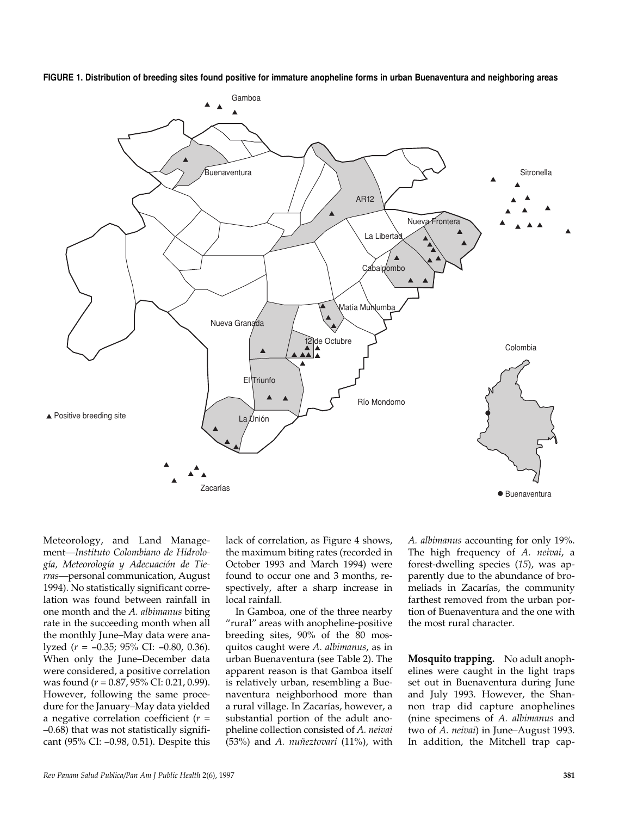



Meteorology, and Land Management—*Instituto Colombiano de Hidrología, Meteorología y Adecuación de Tierras—*personal communication, August 1994). No statistically significant correlation was found between rainfall in one month and the *A. albimanus* biting rate in the succeeding month when all the monthly June–May data were analyzed (*r* = −0.35; 95% CI: −0.80, 0.36). When only the June–December data were considered, a positive correlation was found (*r* = 0.87, 95% CI: 0.21, 0.99). However, following the same procedure for the January–May data yielded a negative correlation coefficient (*r* = –0.68) that was not statistically significant (95% CI: –0.98, 0.51). Despite this

lack of correlation, as Figure 4 shows, the maximum biting rates (recorded in October 1993 and March 1994) were found to occur one and 3 months, respectively, after a sharp increase in local rainfall.

In Gamboa, one of the three nearby "rural" areas with anopheline-positive breeding sites, 90% of the 80 mosquitos caught were *A. albimanus*, as in urban Buenaventura (see Table 2). The apparent reason is that Gamboa itself is relatively urban, resembling a Buenaventura neighborhood more than a rural village. In Zacarías, however, a substantial portion of the adult anopheline collection consisted of *A. neivai* (53%) and *A. nuñeztovari* (11%), with

*A. albimanus* accounting for only 19%. The high frequency of *A. neivai*, a forest-dwelling species (*15*), was apparently due to the abundance of bromeliads in Zacarías, the community farthest removed from the urban portion of Buenaventura and the one with the most rural character.

**Mosquito trapping.** No adult anophelines were caught in the light traps set out in Buenaventura during June and July 1993. However, the Shannon trap did capture anophelines (nine specimens of *A. albimanus* and two of *A. neivai*) in June–August 1993. In addition, the Mitchell trap cap-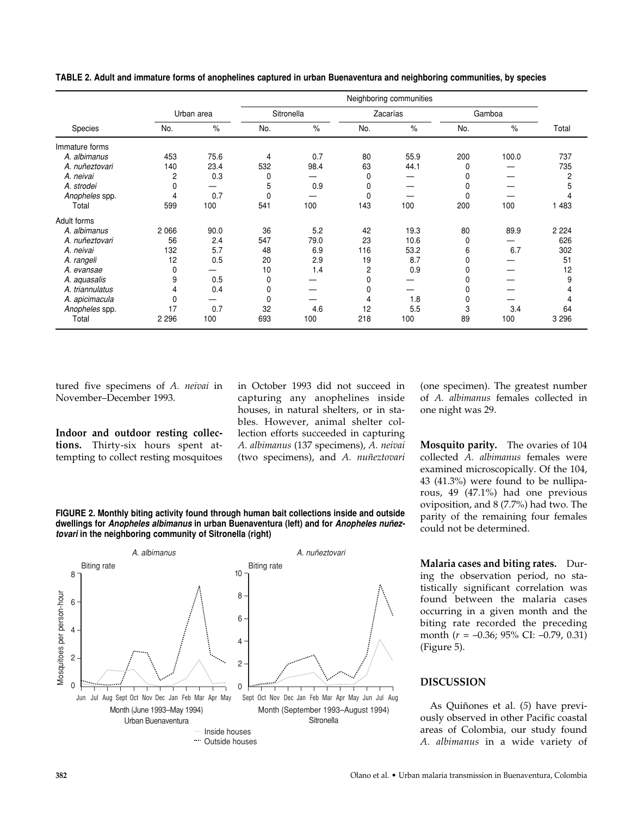| Species         |            |      | Neighboring communities |      |                |      |        |       |         |
|-----------------|------------|------|-------------------------|------|----------------|------|--------|-------|---------|
|                 | Urban area |      | Sitronella              |      | Zacarías       |      | Gamboa |       |         |
|                 | No.        | $\%$ | No.                     | $\%$ | No.            | $\%$ | No.    | $\%$  | Total   |
| Immature forms  |            |      |                         |      |                |      |        |       |         |
| A. albimanus    | 453        | 75.6 | 4                       | 0.7  | 80             | 55.9 | 200    | 100.0 | 737     |
| A. nuñeztovari  | 140        | 23.4 | 532                     | 98.4 | 63             | 44.1 | 0      |       | 735     |
| A. neivai       | 2          | 0.3  | 0                       |      | 0              |      |        |       | 2       |
| A. strodei      | 0          |      | 5                       | 0.9  | 0              |      | 0      |       | 5       |
| Anopheles spp.  | 4          | 0.7  | 0                       |      | 0              |      | 0      |       | 4       |
| Total           | 599        | 100  | 541                     | 100  | 143            | 100  | 200    | 100   | 1483    |
| Adult forms     |            |      |                         |      |                |      |        |       |         |
| A. albimanus    | 2066       | 90.0 | 36                      | 5.2  | 42             | 19.3 | 80     | 89.9  | 2 2 2 4 |
| A. nuñeztovari  | 56         | 2.4  | 547                     | 79.0 | 23             | 10.6 | 0      |       | 626     |
| A. neivai       | 132        | 5.7  | 48                      | 6.9  | 116            | 53.2 | 6      | 6.7   | 302     |
| A. rangeli      | 12         | 0.5  | 20                      | 2.9  | 19             | 8.7  | 0      |       | 51      |
| A. evansae      | 0          |      | 10                      | 1.4  | $\overline{c}$ | 0.9  | 0      |       | 12      |
| A. aquasalis    | 9          | 0.5  | 0                       |      | 0              |      |        |       | 9       |
| A. triannulatus | 4          | 0.4  |                         |      | 0              |      |        |       |         |
| A. apicimacula  | 0          |      | 0                       |      | 4              | 1.8  | 0      |       | 4       |
| Anopheles spp.  | 17         | 0.7  | 32                      | 4.6  | 12             | 5.5  | 3      | 3.4   | 64      |
| Total           | 2 2 9 6    | 100  | 693                     | 100  | 218            | 100  | 89     | 100   | 3 2 9 6 |

**TABLE 2. Adult and immature forms of anophelines captured in urban Buenaventura and neighboring communities, by species**

tured five specimens of *A. neivai* in November–December 1993.

**Indoor and outdoor resting collections.** Thirty-six hours spent attempting to collect resting mosquitoes in October 1993 did not succeed in capturing any anophelines inside houses, in natural shelters, or in stables. However, animal shelter collection efforts succeeded in capturing *A. albimanus* (137 specimens), *A. neivai* (two specimens), and *A. nuñeztovari*

(one specimen). The greatest number of *A. albimanus* females collected in one night was 29.

**Mosquito parity.** The ovaries of 104 collected *A. albimanus* females were examined microscopically. Of the 104, 43 (41.3%) were found to be nulliparous, 49 (47.1%) had one previous oviposition, and 8 (7.7%) had two. The parity of the remaining four females could not be determined.

**Malaria cases and biting rates.** During the observation period, no statistically significant correlation was found between the malaria cases occurring in a given month and the biting rate recorded the preceding month (*r* = –0.36; 95% CI: –0.79, 0.31) (Figure 5).

#### **DISCUSSION**

As Quiñones et al. (*5*) have previously observed in other Pacific coastal areas of Colombia, our study found *A. albimanus* in a wide variety of

**FIGURE 2. Monthly biting activity found through human bait collections inside and outside dwellings for** *Anopheles albimanus* **in urban Buenaventura (left) and for** *Anopheles nuñeztovari* **in the neighboring community of Sitronella (right)**

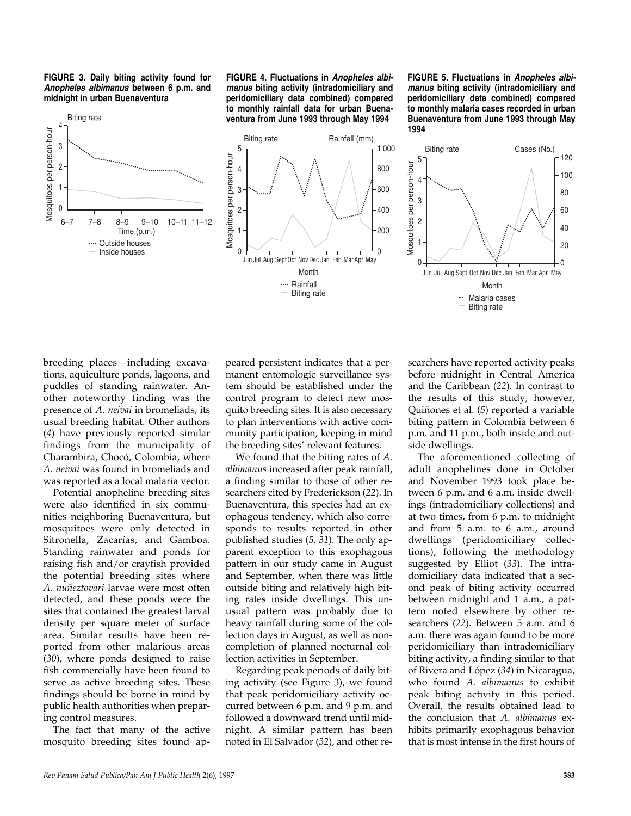



**FIGURE 4. Fluctuations in** *Anopheles albimanus* **biting activity (intradomiciliary and peridomiciliary data combined) compared to monthly rainfall data for urban Buenaventura from June 1993 through May 1994**

5 4

3 2

Mosquitoes per person-hour

Mosquitoes per person-hour

1  $\Omega$  **FIGURE 5. Fluctuations in** *Anopheles albimanus* **biting activity (intradomiciliary and peridomiciliary data combined) compared to monthly malaria cases recorded in urban Buenaventura from June 1993 through May 1994**





breeding places—including excavations, aquiculture ponds, lagoons, and puddles of standing rainwater. Another noteworthy finding was the presence of *A. neivai* in bromeliads, its usual breeding habitat. Other authors (*4*) have previously reported similar findings from the municipality of Charambira, Chocó, Colombia, where *A. neivai* was found in bromeliads and was reported as a local malaria vector.

Potential anopheline breeding sites were also identified in six communities neighboring Buenaventura, but mosquitoes were only detected in Sitronella, Zacarías, and Gamboa. Standing rainwater and ponds for raising fish and/or crayfish provided the potential breeding sites where *A. nuñeztovari* larvae were most often detected, and these ponds were the sites that contained the greatest larval density per square meter of surface area. Similar results have been reported from other malarious areas (*30*), where ponds designed to raise fish commercially have been found to serve as active breeding sites. These findings should be borne in mind by public health authorities when preparing control measures.

The fact that many of the active mosquito breeding sites found ap-

peared persistent indicates that a permanent entomologic surveillance system should be established under the control program to detect new mosquito breeding sites. It is also necessary to plan interventions with active community participation, keeping in mind the breeding sites' relevant features.

We found that the biting rates of *A. albimanus* increased after peak rainfall, a finding similar to those of other researchers cited by Frederickson (*22*). In Buenaventura, this species had an exophagous tendency, which also corresponds to results reported in other published studies (*5, 31*). The only apparent exception to this exophagous pattern in our study came in August and September, when there was little outside biting and relatively high biting rates inside dwellings. This unusual pattern was probably due to heavy rainfall during some of the collection days in August, as well as noncompletion of planned nocturnal collection activities in September.

Regarding peak periods of daily biting activity (see Figure 3), we found that peak peridomiciliary activity occurred between 6 p.m. and 9 p.m. and followed a downward trend until midnight. A similar pattern has been noted in El Salvador (*32*), and other re-

searchers have reported activity peaks before midnight in Central America and the Caribbean (*22*). In contrast to the results of this study, however, Quiñones et al. (*5*) reported a variable biting pattern in Colombia between 6 p.m. and 11 p.m., both inside and outside dwellings.

The aforementioned collecting of adult anophelines done in October and November 1993 took place between 6 p.m. and 6 a.m. inside dwellings (intradomiciliary collections) and at two times, from 6 p.m. to midnight and from 5 a.m. to 6 a.m., around dwellings (peridomiciliary collections), following the methodology suggested by Elliot (*33*). The intradomiciliary data indicated that a second peak of biting activity occurred between midnight and 1 a.m., a pattern noted elsewhere by other researchers (*22*). Between 5 a.m. and 6 a.m. there was again found to be more peridomiciliary than intradomiciliary biting activity, a finding similar to that of Rivera and López (*34*) in Nicaragua, who found *A. albimanus* to exhibit peak biting activity in this period. Overall, the results obtained lead to the conclusion that *A. albimanus* exhibits primarily exophagous behavior that is most intense in the first hours of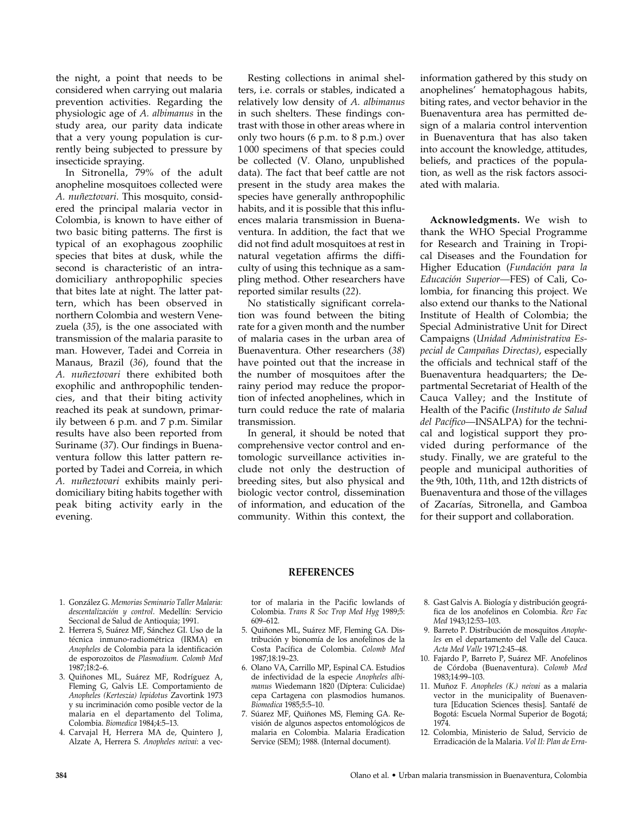the night, a point that needs to be considered when carrying out malaria prevention activities. Regarding the physiologic age of *A. albimanus* in the study area, our parity data indicate that a very young population is currently being subjected to pressure by insecticide spraying.

In Sitronella, 79% of the adult anopheline mosquitoes collected were *A. nuñeztovari*. This mosquito, considered the principal malaria vector in Colombia, is known to have either of two basic biting patterns. The first is typical of an exophagous zoophilic species that bites at dusk, while the second is characteristic of an intradomiciliary anthropophilic species that bites late at night. The latter pattern, which has been observed in northern Colombia and western Venezuela (*35*), is the one associated with transmission of the malaria parasite to man. However, Tadei and Correia in Manaus, Brazil (*36*), found that the *A. nuñeztovari* there exhibited both exophilic and anthropophilic tendencies, and that their biting activity reached its peak at sundown, primarily between 6 p.m. and 7 p.m. Similar results have also been reported from Suriname (*37*). Our findings in Buenaventura follow this latter pattern reported by Tadei and Correia, in which *A. nuñeztovari* exhibits mainly peridomiciliary biting habits together with peak biting activity early in the evening.

Resting collections in animal shelters, i.e. corrals or stables, indicated a relatively low density of *A. albimanus* in such shelters. These findings contrast with those in other areas where in only two hours (6 p.m. to 8 p.m.) over 1 000 specimens of that species could be collected (V. Olano, unpublished data). The fact that beef cattle are not present in the study area makes the species have generally anthropophilic habits, and it is possible that this influences malaria transmission in Buenaventura. In addition, the fact that we did not find adult mosquitoes at rest in natural vegetation affirms the difficulty of using this technique as a sampling method. Other researchers have reported similar results (*22*).

No statistically significant correlation was found between the biting rate for a given month and the number of malaria cases in the urban area of Buenaventura. Other researchers (*38*) have pointed out that the increase in the number of mosquitoes after the rainy period may reduce the proportion of infected anophelines, which in turn could reduce the rate of malaria transmission.

In general, it should be noted that comprehensive vector control and entomologic surveillance activities include not only the destruction of breeding sites, but also physical and biologic vector control, dissemination of information, and education of the community. Within this context, the

information gathered by this study on anophelines' hematophagous habits, biting rates, and vector behavior in the Buenaventura area has permitted design of a malaria control intervention in Buenaventura that has also taken into account the knowledge, attitudes, beliefs, and practices of the population, as well as the risk factors associated with malaria.

**Acknowledgments.** We wish to thank the WHO Special Programme for Research and Training in Tropical Diseases and the Foundation for Higher Education (*Fundación para la Educación Superior—*FES) of Cali, Colombia, for financing this project. We also extend our thanks to the National Institute of Health of Colombia; the Special Administrative Unit for Direct Campaigns (*Unidad Administrativa Especial de Campañas Directas)*, especially the officials and technical staff of the Buenaventura headquarters; the Departmental Secretariat of Health of the Cauca Valley; and the Institute of Health of the Pacific (*Instituto de Salud del Pacífico—*INSALPA) for the technical and logistical support they provided during performance of the study. Finally, we are grateful to the people and municipal authorities of the 9th, 10th, 11th, and 12th districts of Buenaventura and those of the villages of Zacarías, Sitronella, and Gamboa for their support and collaboration.

#### **REFERENCES**

- 1. González G. *Memorias Seminario Taller Malaria: descentalización y control*. Medellín: Servicio Seccional de Salud de Antioquia; 1991.
- 2. Herrera S, Suárez MF, Sánchez GI. Uso de la técnica inmuno-radiométrica (IRMA) en *Anopheles* de Colombia para la identificación de esporozoitos de *Plasmodium*. *Colomb Med*  $1987.18.2-6$
- 3. Quiñones ML, Suárez MF, Rodríguez A, Fleming G, Galvis LE. Comportamiento de *Anopheles (Kerteszia) lepidotus* Zavortink 1973 y su incriminación como posible vector de la malaria en el departamento del Tolima, Colombia. *Biomedica* 1984;4:5–13.
- 4. Carvajal H, Herrera MA de, Quintero J, Alzate A, Herrera S. *Anopheles neivai*: a vec-

tor of malaria in the Pacific lowlands of Colombia. *Trans R Soc Trop Med Hyg* 1989;5: 609–612.

- 5. Quiñones ML, Suárez MF, Fleming GA. Distribución y bionomía de los anofelinos de la Costa Pacífica de Colombia. *Colomb Med* 1987;18:19–23.
- 6. Olano VA, Carrillo MP, Espinal CA. Estudios de infectividad de la especie *Anopheles albimanus* Wiedemann 1820 (Díptera: Culicidae) cepa Cartagena con plasmodios humanos. *Biomedica* 1985;5:5–10.
- 7. Súarez MF, Quiñones MS, Fleming GA. Revisión de algunos aspectos entomológicos de malaria en Colombia. Malaria Eradication Service (SEM); 1988. (Internal document).
- 8. Gast Galvis A. Biología y distribución geográfica de los anofelinos en Colombia. *Rev Fac Med* 1943;12:53–103.
- 9. Barreto P. Distribución de mosquitos *Anopheles* en el departamento del Valle del Cauca. *Acta Med Valle* 1971;2:45–48.
- 10. Fajardo P, Barreto P, Suárez MF. Anofelinos de Córdoba (Buenaventura). *Colomb Med* 1983;14:99–103.
- 11. Muñoz F. *Anopheles (K.) neivai* as a malaria vector in the municipality of Buenaventura [Education Sciences thesis]. Santafé de Bogotá: Escuela Normal Superior de Bogotá; 1974.
- 12. Colombia, Ministerio de Salud, Servicio de Erradicación de la Malaria. *Vol II: Plan de Erra-*